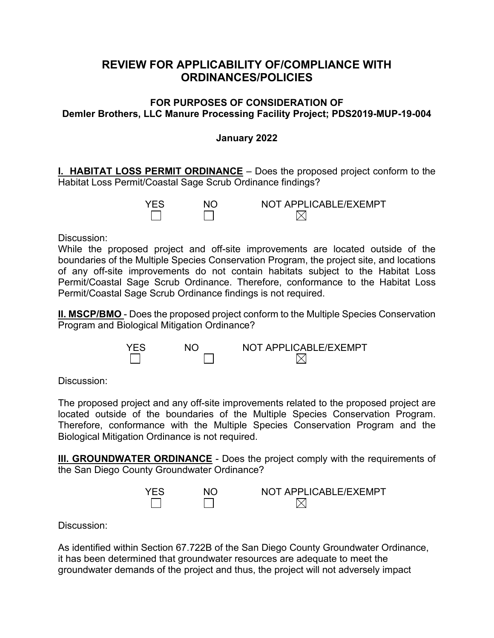# **REVIEW FOR APPLICABILITY OF/COMPLIANCE WITH ORDINANCES/POLICIES**

## **FOR PURPOSES OF CONSIDERATION OF Demler Brothers, LLC Manure Processing Facility Project; PDS2019-MUP-19-004**

## **January 2022**

**I. HABITAT LOSS PERMIT ORDINANCE** – Does the proposed project conform to the Habitat Loss Permit/Coastal Sage Scrub Ordinance findings?

| <b>YFS</b> | NΓ | NOT APPLICABLE/EXEMPT |
|------------|----|-----------------------|
|            |    |                       |

Discussion:

While the proposed project and off-site improvements are located outside of the boundaries of the Multiple Species Conservation Program, the project site, and locations of any off-site improvements do not contain habitats subject to the Habitat Loss Permit/Coastal Sage Scrub Ordinance. Therefore, conformance to the Habitat Loss Permit/Coastal Sage Scrub Ordinance findings is not required.

**II. MSCP/BMO** - Does the proposed project conform to the Multiple Species Conservation Program and Biological Mitigation Ordinance?



Discussion:

The proposed project and any off-site improvements related to the proposed project are located outside of the boundaries of the Multiple Species Conservation Program. Therefore, conformance with the Multiple Species Conservation Program and the Biological Mitigation Ordinance is not required.

**III. GROUNDWATER ORDINANCE** - Does the project comply with the requirements of the San Diego County Groundwater Ordinance?



Discussion:

As identified within Section 67.722B of the San Diego County Groundwater Ordinance, it has been determined that groundwater resources are adequate to meet the groundwater demands of the project and thus, the project will not adversely impact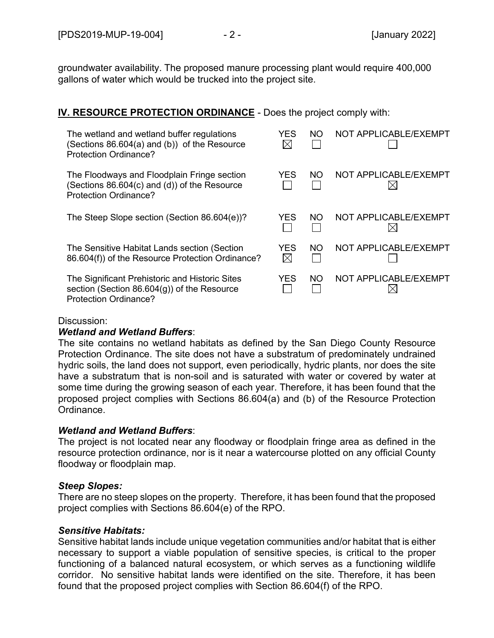groundwater availability. The proposed manure processing plant would require 400,000 gallons of water which would be trucked into the project site.

## **IV. RESOURCE PROTECTION ORDINANCE** - Does the project comply with:

| The wetland and wetland buffer regulations<br>(Sections 86.604(a) and (b)) of the Resource<br>Protection Ordinance?       | YES                | NΟ  | NOT APPLICABLE/EXEMPT |
|---------------------------------------------------------------------------------------------------------------------------|--------------------|-----|-----------------------|
| The Floodways and Floodplain Fringe section<br>(Sections 86.604(c) and (d)) of the Resource<br>Protection Ordinance?      | YES                | NO. | NOT APPLICABLE/EXEMPT |
| The Steep Slope section (Section 86.604(e))?                                                                              | YES                | NO. | NOT APPLICABLE/EXEMPT |
| The Sensitive Habitat Lands section (Section<br>86.604(f)) of the Resource Protection Ordinance?                          | YES<br>$\boxtimes$ | NΟ  | NOT APPLICABLE/EXEMPT |
| The Significant Prehistoric and Historic Sites<br>section (Section $86.604(g)$ ) of the Resource<br>Protection Ordinance? | YES                | NO. | NOT APPLICABLE/EXEMPT |

#### Discussion:

#### *Wetland and Wetland Buffers*:

The site contains no wetland habitats as defined by the San Diego County Resource Protection Ordinance. The site does not have a substratum of predominately undrained hydric soils, the land does not support, even periodically, hydric plants, nor does the site have a substratum that is non-soil and is saturated with water or covered by water at some time during the growing season of each year. Therefore, it has been found that the proposed project complies with Sections 86.604(a) and (b) of the Resource Protection Ordinance.

## *Wetland and Wetland Buffers*:

The project is not located near any floodway or floodplain fringe area as defined in the resource protection ordinance, nor is it near a watercourse plotted on any official County floodway or floodplain map.

## *Steep Slopes:*

There are no steep slopes on the property. Therefore, it has been found that the proposed project complies with Sections 86.604(e) of the RPO.

## *Sensitive Habitats:*

Sensitive habitat lands include unique vegetation communities and/or habitat that is either necessary to support a viable population of sensitive species, is critical to the proper functioning of a balanced natural ecosystem, or which serves as a functioning wildlife corridor. No sensitive habitat lands were identified on the site. Therefore, it has been found that the proposed project complies with Section 86.604(f) of the RPO.